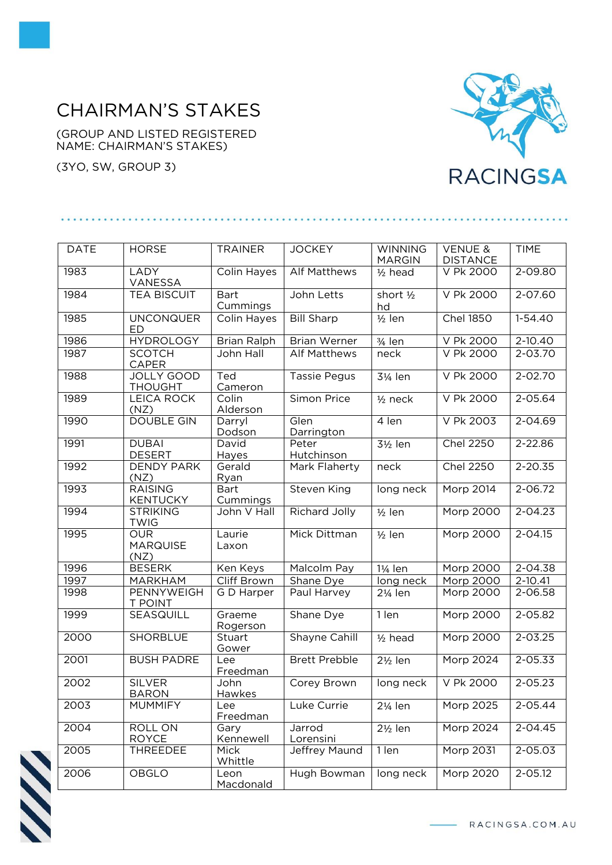## CHAIRMAN'S STAKES

(GROUP AND LISTED REGISTERED NAME: CHAIRMAN'S STAKES)

(3YO, SW, GROUP 3)



| <b>DATE</b> | <b>HORSE</b>                          | <b>TRAINER</b>          | <b>JOCKEY</b>        | <b>WINNING</b><br><b>MARGIN</b> | <b>VENUE &amp;</b><br><b>DISTANCE</b> | <b>TIME</b> |
|-------------|---------------------------------------|-------------------------|----------------------|---------------------------------|---------------------------------------|-------------|
| 1983        | LADY<br>VANESSA                       | Colin Hayes             | <b>Alf Matthews</b>  | $1/2$ head                      | V Pk 2000                             | $2 - 09.80$ |
| 1984        | <b>TEA BISCUIT</b>                    | <b>Bart</b><br>Cummings | John Letts           | short $\frac{1}{2}$<br>hd       | V Pk 2000                             | 2-07.60     |
| 1985        | <b>UNCONQUER</b><br>ED                | Colin Hayes             | <b>Bill Sharp</b>    | $\frac{1}{2}$ len               | <b>Chel 1850</b>                      | $1-54.40$   |
| 1986        | <b>HYDROLOGY</b>                      | <b>Brian Ralph</b>      | <b>Brian Werner</b>  | 3/ <sub>4</sub> len             | V Pk 2000                             | 2-10.40     |
| 1987        | <b>SCOTCH</b><br><b>CAPER</b>         | John Hall               | <b>Alf Matthews</b>  | neck                            | V Pk 2000                             | 2-03.70     |
| 1988        | <b>JOLLY GOOD</b><br><b>THOUGHT</b>   | Ted<br>Cameron          | <b>Tassie Pegus</b>  | 31/ <sub>4</sub> len            | V Pk 2000                             | $2 - 02.70$ |
| 1989        | <b>LEICA ROCK</b><br>(NZ)             | Colin<br>Alderson       | Simon Price          | $1/2$ neck                      | V Pk 2000                             | $2 - 05.64$ |
| 1990        | <b>DOUBLE GIN</b>                     | Darryl<br>Dodson        | Glen<br>Darrington   | 4 len                           | V Pk 2003                             | $2 - 04.69$ |
| 1991        | <b>DUBAI</b><br><b>DESERT</b>         | David<br>Hayes          | Peter<br>Hutchinson  | 31/ <sub>2</sub> len            | <b>Chel 2250</b>                      | $2 - 22.86$ |
| 1992        | <b>DENDY PARK</b><br>(NZ)             | Gerald<br>Ryan          | Mark Flaherty        | neck                            | <b>Chel 2250</b>                      | $2 - 20.35$ |
| 1993        | <b>RAISING</b><br><b>KENTUCKY</b>     | <b>Bart</b><br>Cummings | Steven King          | long neck                       | Morp 2014                             | $2 - 06.72$ |
| 1994        | <b>STRIKING</b><br><b>TWIG</b>        | John V Hall             | <b>Richard Jolly</b> | $\frac{1}{2}$ len               | Morp 2000                             | $2 - 04.23$ |
| 1995        | <b>OUR</b><br><b>MARQUISE</b><br>(NZ) | Laurie<br>Laxon         | Mick Dittman         | $1/2$ len                       | Morp 2000                             | $2 - 04.15$ |
| 1996        | <b>BESERK</b>                         | Ken Keys                | Malcolm Pay          | 1¼ len                          | <b>Morp 2000</b>                      | $2 - 04.38$ |
| 1997        | MARKHAM                               | Cliff Brown             | Shane Dye            | long neck                       | Morp 2000                             | 2-10.41     |
| 1998        | PENNYWEIGH<br><b>T POINT</b>          | G D Harper              | Paul Harvey          | 21/ <sub>4</sub> len            | Morp 2000                             | 2-06.58     |
| 1999        | SEASQUILL                             | Graeme<br>Rogerson      | Shane Dye            | 1 len                           | <b>Morp 2000</b>                      | 2-05.82     |
| 2000        | <b>SHORBLUE</b>                       | <b>Stuart</b><br>Gower  | Shayne Cahill        | $1/2$ head                      | Morp 2000                             | $2 - 03.25$ |
| 2001        | <b>BUSH PADRE</b>                     | Lee<br>Freedman         | <b>Brett Prebble</b> | $2\frac{1}{2}$ len              | Morp 2024                             | $2 - 05.33$ |
| 2002        | <b>SILVER</b><br><b>BARON</b>         | John<br>Hawkes          | Corey Brown          | long neck                       | V Pk 2000                             | $2 - 05.23$ |
| 2003        | <b>MUMMIFY</b>                        | Lee<br>Freedman         | Luke Currie          | 21/ <sub>4</sub> len            | Morp 2025                             | 2-05.44     |
| 2004        | ROLL ON<br><b>ROYCE</b>               | Gary<br>Kennewell       | Jarrod<br>Lorensini  | $2\frac{1}{2}$ len              | Morp 2024                             | $2 - 04.45$ |
| 2005        | THREEDEE                              | Mick<br>Whittle         | Jeffrey Maund        | 1 len                           | Morp 2031                             | 2-05.03     |
| 2006        | OBGLO                                 | Leon<br>Macdonald       | Hugh Bowman          | long neck                       | Morp 2020                             | $2 - 05.12$ |



RACINGSA.COM.AU